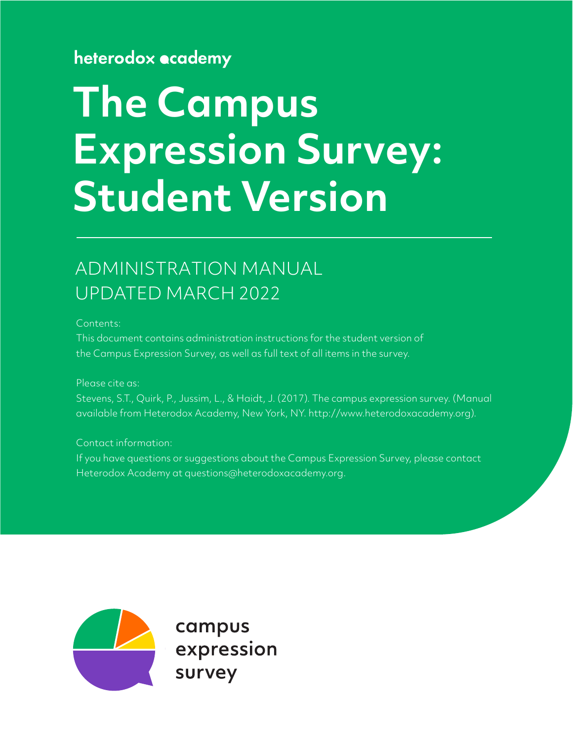### heterodox ecademy

# **The Campus Expression Survey: Student Version**

# ADMINISTRATION MANUAL UPDATED MARCH 2022

Contents:

This document contains administration instructions for the student version of the Campus Expression Survey, as well as full text of all items in the survey.

Please cite as:

Stevens, S.T., Quirk, P., Jussim, L., & Haidt, J. (2017). The campus expression survey. (Manual available from Heterodox Academy, New York, NY. http://www.heterodoxacademy.org).

Contact information:

If you have questions or suggestions about the Campus Expression Survey, please contact Heterodox Academy at questions@heterodoxacademy.org.



campus expression survey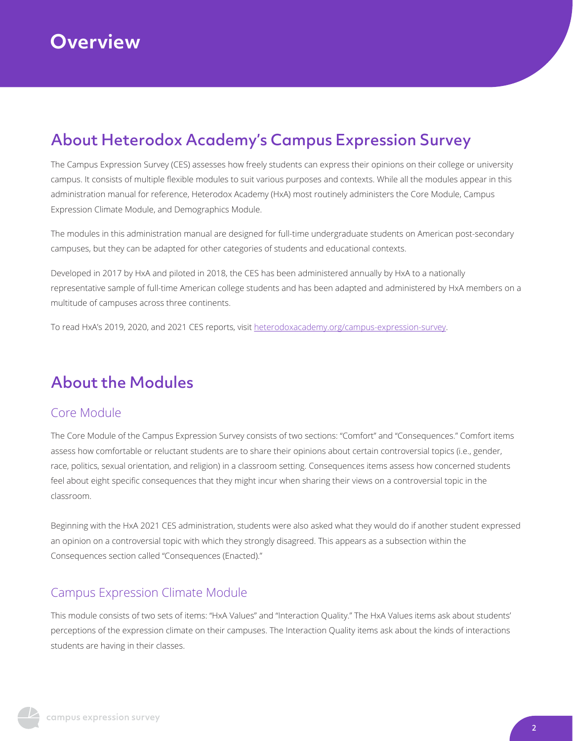# About Heterodox Academy's Campus Expression Survey

The Campus Expression Survey (CES) assesses how freely students can express their opinions on their college or university campus. It consists of multiple flexible modules to suit various purposes and contexts. While all the modules appear in this administration manual for reference, Heterodox Academy (HxA) most routinely administers the Core Module, Campus Expression Climate Module, and Demographics Module.

The modules in this administration manual are designed for full-time undergraduate students on American post-secondary campuses, but they can be adapted for other categories of students and educational contexts.

Developed in 2017 by HxA and piloted in 2018, the CES has been administered annually by HxA to a nationally representative sample of full-time American college students and has been adapted and administered by HxA members on a multitude of campuses across three continents.

To read HxA's 2019, 2020, and 2021 CES reports, visit [heterodoxacademy.org/campus-expression-survey.](heterodoxacademy.org/campus-expression-survey)

# About the Modules

### Core Module

The Core Module of the Campus Expression Survey consists of two sections: "Comfort" and "Consequences." Comfort items assess how comfortable or reluctant students are to share their opinions about certain controversial topics (i.e., gender, race, politics, sexual orientation, and religion) in a classroom setting. Consequences items assess how concerned students feel about eight specific consequences that they might incur when sharing their views on a controversial topic in the classroom.

Beginning with the HxA 2021 CES administration, students were also asked what they would do if another student expressed an opinion on a controversial topic with which they strongly disagreed. This appears as a subsection within the Consequences section called "Consequences (Enacted)."

### Campus Expression Climate Module

This module consists of two sets of items: "HxA Values" and "Interaction Quality." The HxA Values items ask about students' perceptions of the expression climate on their campuses. The Interaction Quality items ask about the kinds of interactions students are having in their classes.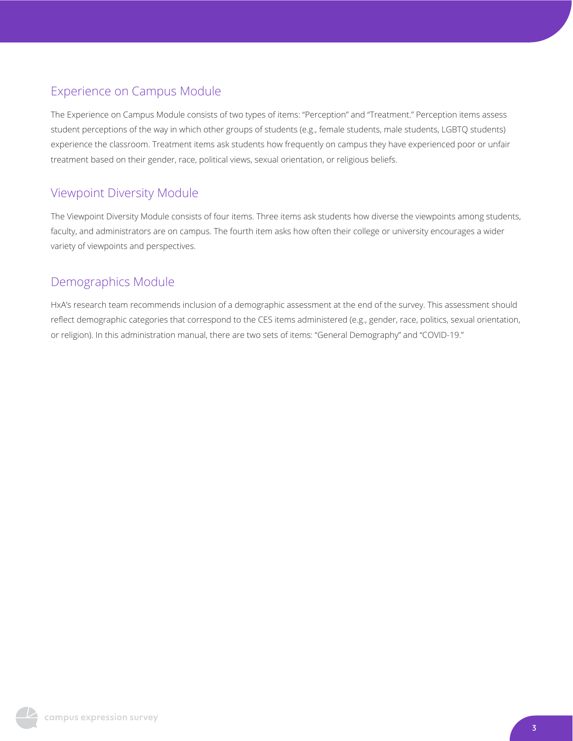### Experience on Campus Module

The Experience on Campus Module consists of two types of items: "Perception" and "Treatment." Perception items assess student perceptions of the way in which other groups of students (e.g., female students, male students, LGBTQ students) experience the classroom. Treatment items ask students how frequently on campus they have experienced poor or unfair treatment based on their gender, race, political views, sexual orientation, or religious beliefs.

### Viewpoint Diversity Module

The Viewpoint Diversity Module consists of four items. Three items ask students how diverse the viewpoints among students, faculty, and administrators are on campus. The fourth item asks how often their college or university encourages a wider variety of viewpoints and perspectives.

### Demographics Module

HxA's research team recommends inclusion of a demographic assessment at the end of the survey. This assessment should reflect demographic categories that correspond to the CES items administered (e.g., gender, race, politics, sexual orientation, or religion). In this administration manual, there are two sets of items: "General Demography" and "COVID-19."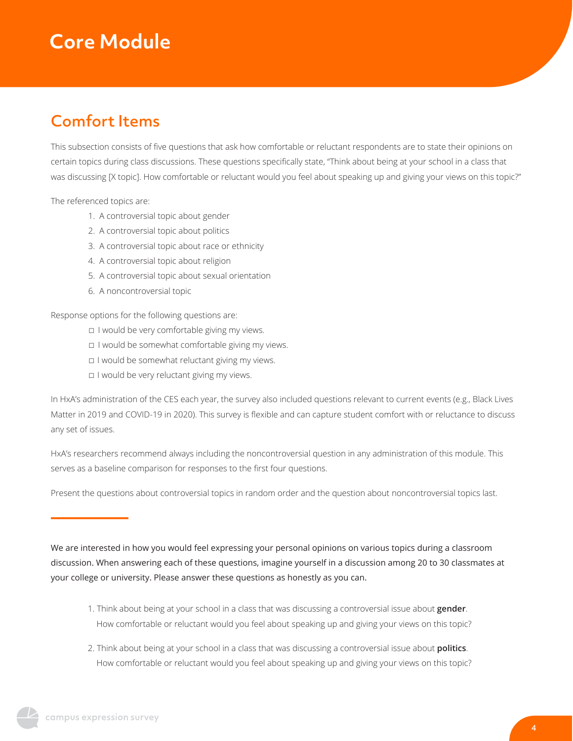# **Core Module**

### Comfort Items

This subsection consists of five questions that ask how comfortable or reluctant respondents are to state their opinions on certain topics during class discussions. These questions specifically state, "Think about being at your school in a class that was discussing [X topic]. How comfortable or reluctant would you feel about speaking up and giving your views on this topic?"

The referenced topics are:

- 1. A controversial topic about gender
- 2. A controversial topic about politics
- 3. A controversial topic about race or ethnicity
- 4. A controversial topic about religion
- 5. A controversial topic about sexual orientation
- 6. A noncontroversial topic

Response options for the following questions are:

- ☐ I would be very comfortable giving my views.
- ☐ I would be somewhat comfortable giving my views.
- ☐ I would be somewhat reluctant giving my views.
- ☐ I would be very reluctant giving my views.

In HxA's administration of the CES each year, the survey also included questions relevant to current events (e.g., Black Lives Matter in 2019 and COVID-19 in 2020). This survey is flexible and can capture student comfort with or reluctance to discuss any set of issues.

HxA's researchers recommend always including the noncontroversial question in any administration of this module. This serves as a baseline comparison for responses to the first four questions.

Present the questions about controversial topics in random order and the question about noncontroversial topics last.

We are interested in how you would feel expressing your personal opinions on various topics during a classroom discussion. When answering each of these questions, imagine yourself in a discussion among 20 to 30 classmates at your college or university. Please answer these questions as honestly as you can.

- 1. Think about being at your school in a class that was discussing a controversial issue about **gender**. How comfortable or reluctant would you feel about speaking up and giving your views on this topic?
- 2. Think about being at your school in a class that was discussing a controversial issue about **politics**. How comfortable or reluctant would you feel about speaking up and giving your views on this topic?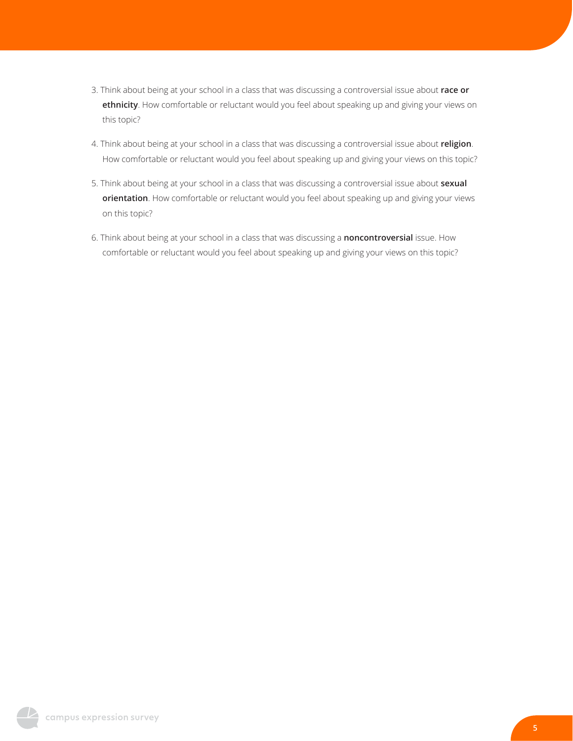- 3. Think about being at your school in a class that was discussing a controversial issue about **race or ethnicity**. How comfortable or reluctant would you feel about speaking up and giving your views on this topic?
- 4. Think about being at your school in a class that was discussing a controversial issue about **religion**. How comfortable or reluctant would you feel about speaking up and giving your views on this topic?
- 5. Think about being at your school in a class that was discussing a controversial issue about **sexual orientation**. How comfortable or reluctant would you feel about speaking up and giving your views on this topic?
- 6. Think about being at your school in a class that was discussing a **noncontroversial** issue. How comfortable or reluctant would you feel about speaking up and giving your views on this topic?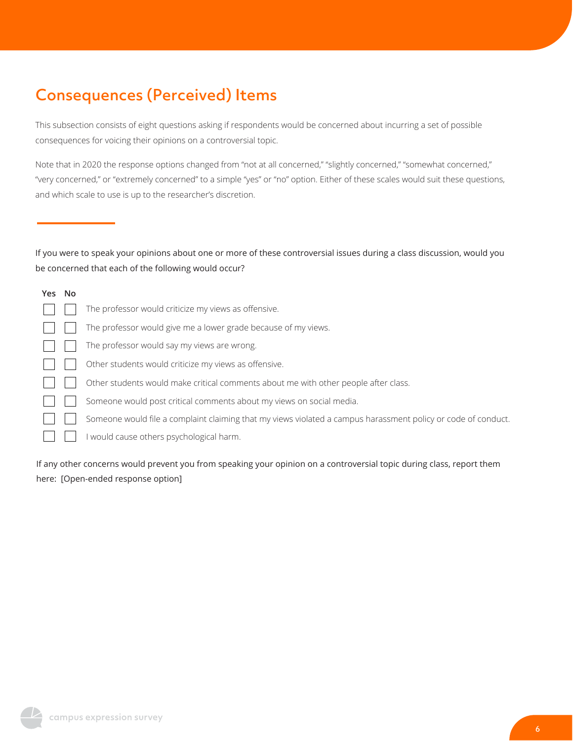# Consequences (Perceived) Items

This subsection consists of eight questions asking if respondents would be concerned about incurring a set of possible consequences for voicing their opinions on a controversial topic.

Note that in 2020 the response options changed from "not at all concerned," "slightly concerned," "somewhat concerned," "very concerned," or "extremely concerned" to a simple "yes" or "no" option. Either of these scales would suit these questions, and which scale to use is up to the researcher's discretion.

If you were to speak your opinions about one or more of these controversial issues during a class discussion, would you be concerned that each of the following would occur?

| Yes No |                                                                                                               |
|--------|---------------------------------------------------------------------------------------------------------------|
|        | The professor would criticize my views as offensive.                                                          |
|        | The professor would give me a lower grade because of my views.                                                |
|        | The professor would say my views are wrong.                                                                   |
|        | Other students would criticize my views as offensive.                                                         |
|        | Other students would make critical comments about me with other people after class.                           |
|        | Someone would post critical comments about my views on social media.                                          |
|        | Someone would file a complaint claiming that my views violated a campus harassment policy or code of conduct. |
|        | I would cause others psychological harm.                                                                      |
|        |                                                                                                               |

If any other concerns would prevent you from speaking your opinion on a controversial topic during class, report them here: [Open-ended response option]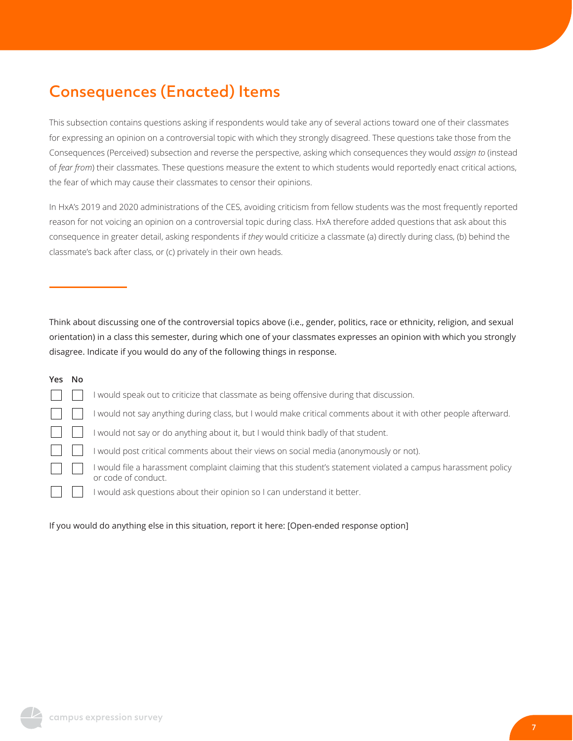# Consequences (Enacted) Items

This subsection contains questions asking if respondents would take any of several actions toward one of their classmates for expressing an opinion on a controversial topic with which they strongly disagreed. These questions take those from the Consequences (Perceived) subsection and reverse the perspective, asking which consequences they would *assign to* (instead of *fear from*) their classmates. These questions measure the extent to which students would reportedly enact critical actions, the fear of which may cause their classmates to censor their opinions.

In HxA's 2019 and 2020 administrations of the CES, avoiding criticism from fellow students was the most frequently reported reason for not voicing an opinion on a controversial topic during class. HxA therefore added questions that ask about this consequence in greater detail, asking respondents if *they* would criticize a classmate (a) directly during class, (b) behind the classmate's back after class, or (c) privately in their own heads.

Think about discussing one of the controversial topics above (i.e., gender, politics, race or ethnicity, religion, and sexual orientation) in a class this semester, during which one of your classmates expresses an opinion with which you strongly disagree. Indicate if you would do any of the following things in response.

#### **Yes No**

|  | I would speak out to criticize that classmate as being offensive during that discussion.                                              |
|--|---------------------------------------------------------------------------------------------------------------------------------------|
|  | I would not say anything during class, but I would make critical comments about it with other people afterward.                       |
|  | I would not say or do anything about it, but I would think badly of that student.                                                     |
|  | I would post critical comments about their views on social media (anonymously or not).                                                |
|  | I would file a harassment complaint claiming that this student's statement violated a campus harassment policy<br>or code of conduct. |
|  | I would ask questions about their opinion so I can understand it better.                                                              |

#### If you would do anything else in this situation, report it here: [Open-ended response option]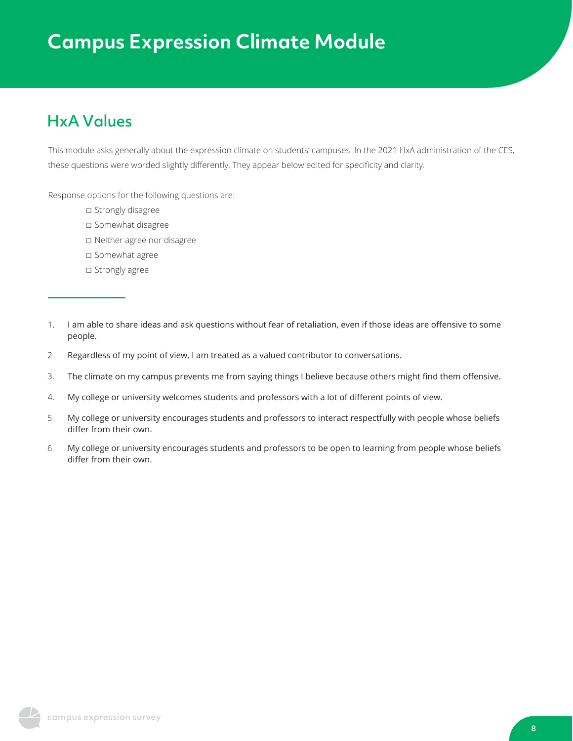### HxA Values

This module asks generally about the expression climate on students' campuses. In the 2021 HxA administration of the CES, these questions were worded slightly differently. They appear below edited for specificity and clarity.

Response options for the following questions are:

- □ Strongly disagree
- ☐ Somewhat disagree
- ☐ Neither agree nor disagree
- □ Somewhat agree
- □ Strongly agree
- I am able to share ideas and ask questions without fear of retaliation, even if those ideas are offensive to some people. 1.
- Regardless of my point of view, I am treated as a valued contributor to conversations. 2.
- 3. The climate on my campus prevents me from saying things I believe because others might find them offensive.
- $4.$ My college or university welcomes students and professors with a lot of different points of view.
- 5. My college or university encourages students and professors to interact respectfully with people whose beliefs differ from their own.
- 6. My college or university encourages students and professors to be open to learning from people whose beliefs differ from their own.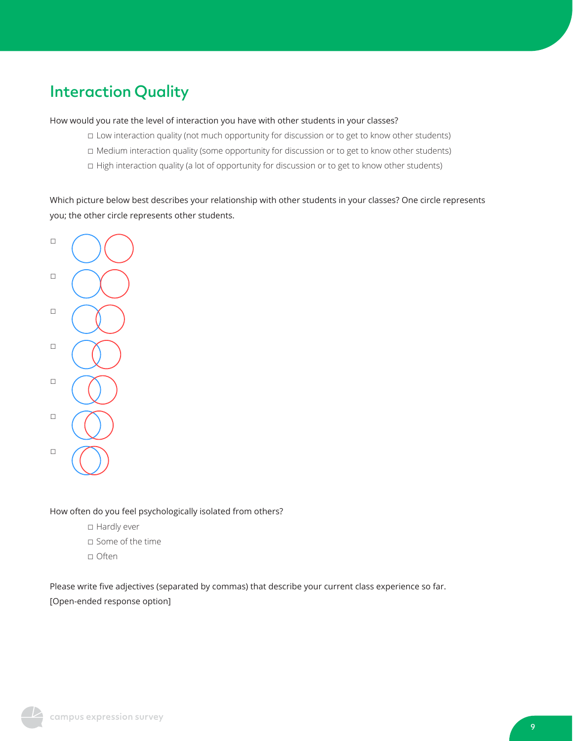## Interaction Quality

How would you rate the level of interaction you have with other students in your classes?

- ☐ Low interaction quality (not much opportunity for discussion or to get to know other students)
- ☐ Medium interaction quality (some opportunity for discussion or to get to know other students)
- ☐ High interaction quality (a lot of opportunity for discussion or to get to know other students)

Which picture below best describes your relationship with other students in your classes? One circle represents you; the other circle represents other students.



#### How often do you feel psychologically isolated from others?

- □ Hardly ever
- ☐ Some of the time
- ☐ Often

Please write five adjectives (separated by commas) that describe your current class experience so far. [Open-ended response option]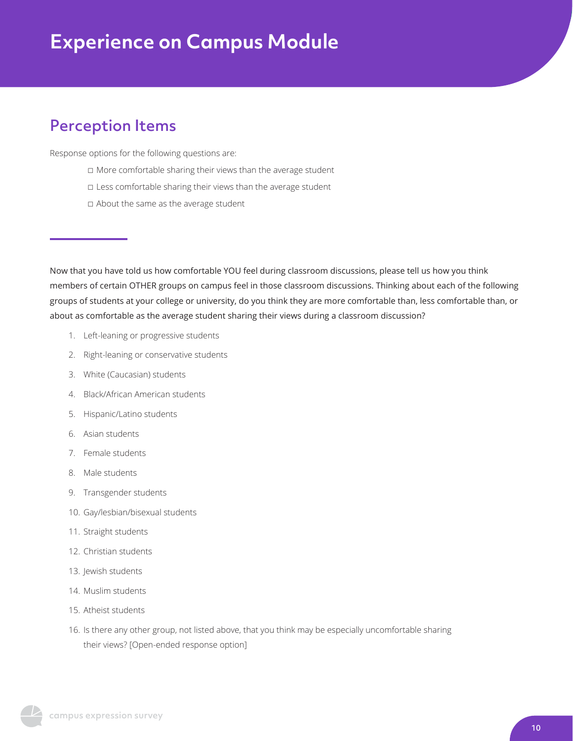### Perception Items

Response options for the following questions are:

- ☐ More comfortable sharing their views than the average student
- □ Less comfortable sharing their views than the average student
- ☐ About the same as the average student

Now that you have told us how comfortable YOU feel during classroom discussions, please tell us how you think members of certain OTHER groups on campus feel in those classroom discussions. Thinking about each of the following groups of students at your college or university, do you think they are more comfortable than, less comfortable than, or about as comfortable as the average student sharing their views during a classroom discussion?

- 1. Left-leaning or progressive students
- 2. Right-leaning or conservative students
- 3. White (Caucasian) students
- 4. Black/African American students
- 5. Hispanic/Latino students
- 6. Asian students
- 7. Female students
- 8. Male students
- 9. Transgender students
- 10. Gay/lesbian/bisexual students
- 11. Straight students
- 12. Christian students
- 13. Jewish students
- 14. Muslim students
- 15. Atheist students
- 16. Is there any other group, not listed above, that you think may be especially uncomfortable sharing their views? [Open-ended response option]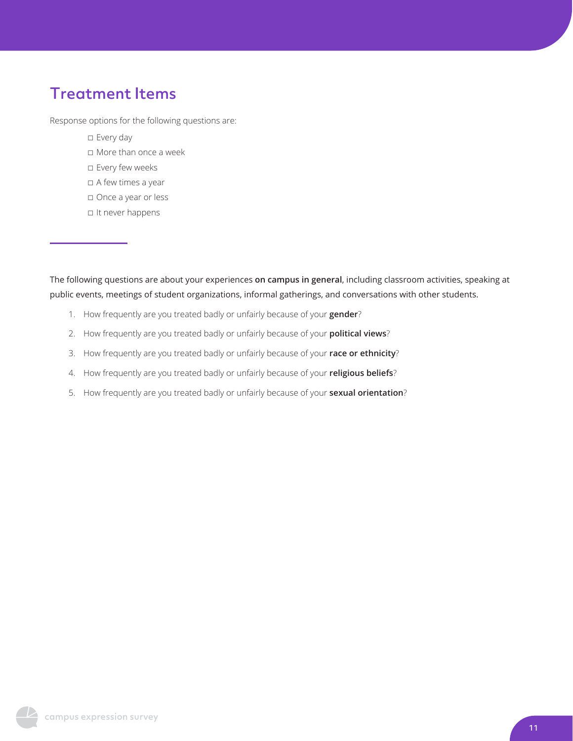### Treatment Items

Response options for the following questions are:

- ☐ Every day
- ☐ More than once a week
- ☐ Every few weeks
- ☐ A few times a year
- ☐ Once a year or less
- ☐ It never happens

The following questions are about your experiences **on campus in general**, including classroom activities, speaking at public events, meetings of student organizations, informal gatherings, and conversations with other students.

- 1. How frequently are you treated badly or unfairly because of your **gender**?
- 2. How frequently are you treated badly or unfairly because of your **political views**?
- 3. How frequently are you treated badly or unfairly because of your **race or ethnicity**?
- 4. How frequently are you treated badly or unfairly because of your **religious beliefs**?
- 5. How frequently are you treated badly or unfairly because of your **sexual orientation**?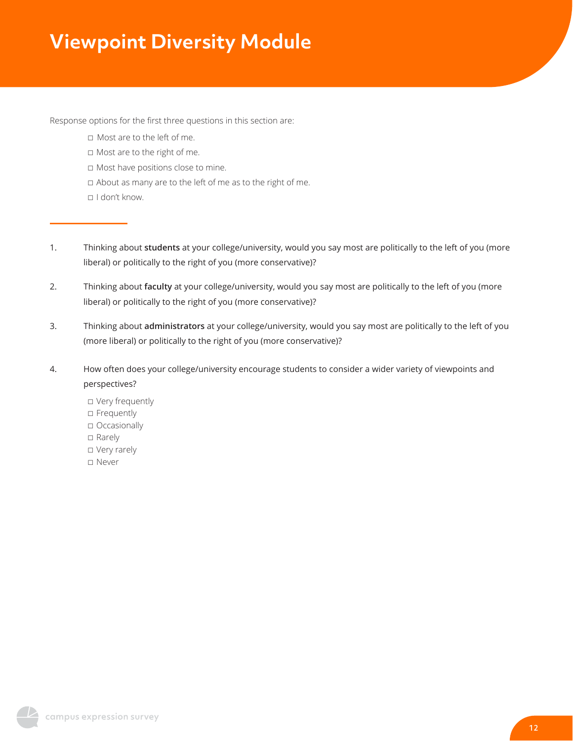# **Viewpoint Diversity Module**

Response options for the first three questions in this section are:

- ☐ Most are to the left of me.
- ☐ Most are to the right of me.
- ☐ Most have positions close to mine.
- ☐ About as many are to the left of me as to the right of me.
- ☐ I don't know.
- 1. Thinking about **students** at your college/university, would you say most are politically to the left of you (more liberal) or politically to the right of you (more conservative)?
- 2. Thinking about **faculty** at your college/university, would you say most are politically to the left of you (more liberal) or politically to the right of you (more conservative)?
- 3. Thinking about **administrators** at your college/university, would you say most are politically to the left of you (more liberal) or politically to the right of you (more conservative)?
- 4. How often does your college/university encourage students to consider a wider variety of viewpoints and perspectives?
	- ☐ Very frequently □ Frequently ☐ Occasionally ☐ Rarely ☐ Very rarely ☐ Never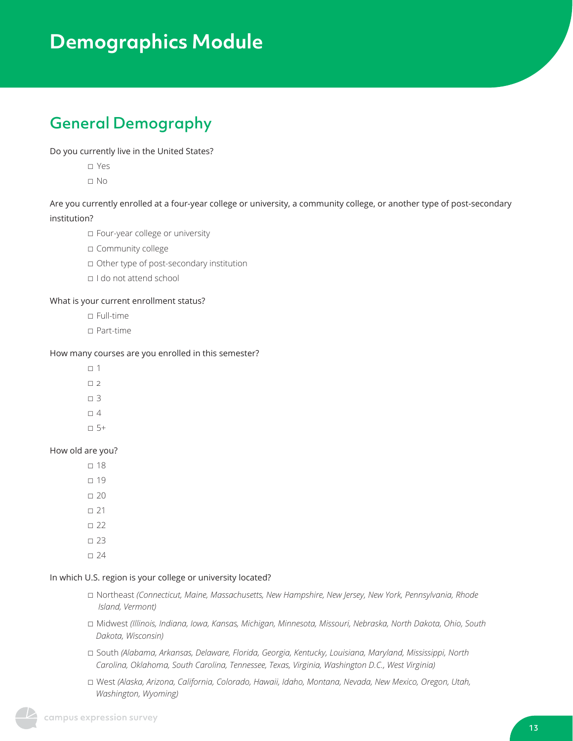# **Demographics Module**

# General Demography

#### Do you currently live in the United States?

☐ Yes

☐ No

Are you currently enrolled at a four-year college or university, a community college, or another type of post-secondary

#### institution?

☐ Four-year college or university

☐ Community college

☐ Other type of post-secondary institution

☐ I do not attend school

#### What is your current enrollment status?

- ☐ Full-time
- ☐ Part-time

#### How many courses are you enrolled in this semester?

- $□$  1
- $\Box$  2
- $\square$  3
- $\Box$  4
- $\Box$  5+
- 

#### How old are you?

- $\square$  18
- ☐ 19
- $\square$  20
- $\square$  21
- $\square$  22
- $\square$  23
- $\square$  24

#### In which U.S. region is your college or university located?

- ☐ Northeast *(Connecticut, Maine, Massachusetts, New Hampshire, New Jersey, New York, Pennsylvania, Rhode Island, Vermont)*
- ☐ Midwest *(Illinois, Indiana, Iowa, Kansas, Michigan, Minnesota, Missouri, Nebraska, North Dakota, Ohio, South Dakota, Wisconsin)*
- ☐ South *(Alabama, Arkansas, Delaware, Florida, Georgia, Kentucky, Louisiana, Maryland, Mississippi, North Carolina, Oklahoma, South Carolina, Tennessee, Texas, Virginia, Washington D.C., West Virginia)*
- ☐ West *(Alaska, Arizona, California, Colorado, Hawaii, Idaho, Montana, Nevada, New Mexico, Oregon, Utah, Washington, Wyoming)*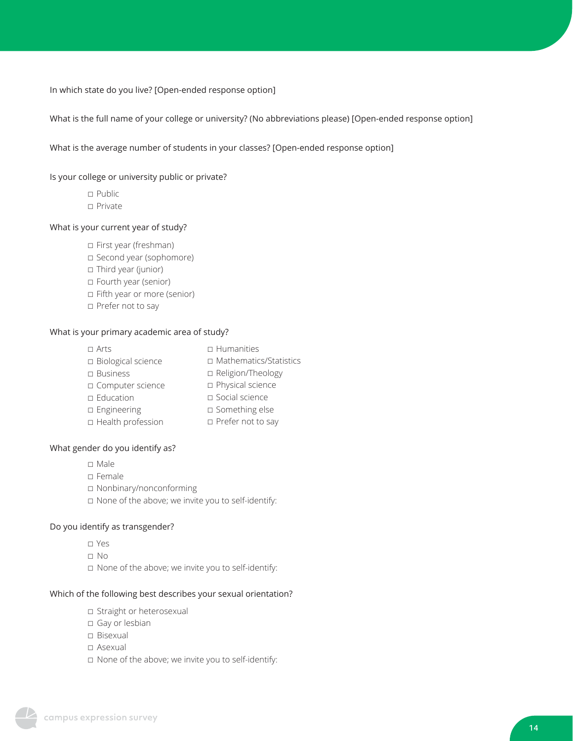In which state do you live? [Open-ended response option]

What is the full name of your college or university? (No abbreviations please) [Open-ended response option]

What is the average number of students in your classes? [Open-ended response option]

Is your college or university public or private?

☐ Public ☐ Private

#### What is your current year of study?

- ☐ First year (freshman) ☐ Second year (sophomore)
- □ Third year (junior)
- ☐ Fourth year (senior)
- ☐ Fifth year or more (senior)
- ☐ Prefer not to say

#### What is your primary academic area of study?

| $\Box$ Arts          | $\Box$ Humanities        |
|----------------------|--------------------------|
| □ Biological science | □ Mathematics/Statistics |
| $\square$ Business   | □ Religion/Theology      |
| □ Computer science   | □ Physical science       |
| $\square$ Education  | $\square$ Social science |
| □ Engineering        | □ Something else         |
| □ Health profession  | □ Prefer not to say      |
|                      |                          |

#### What gender do you identify as?

- ☐ Male
- ☐ Female
- ☐ Nonbinary/nonconforming
- ☐ None of the above; we invite you to self-identify:

#### Do you identify as transgender?

- ☐ Yes
- ☐ No
- ☐ None of the above; we invite you to self-identify:

#### Which of the following best describes your sexual orientation?

- ☐ Straight or heterosexual
- ☐ Gay or lesbian
- ☐ Bisexual
- ☐ Asexual
- ☐ None of the above; we invite you to self-identify: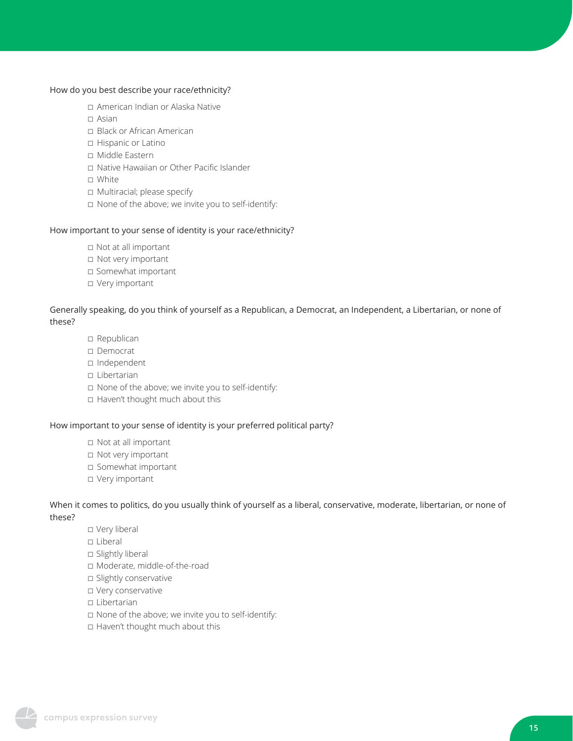#### How do you best describe your race/ethnicity?

- ☐ American Indian or Alaska Native
- ☐ Asian
- ☐ Black or African American
- ☐ Hispanic or Latino
- ☐ Middle Eastern
- ☐ Native Hawaiian or Other Pacific Islander
- ☐ White
- ☐ Multiracial; please specify
- ☐ None of the above; we invite you to self-identify:

#### How important to your sense of identity is your race/ethnicity?

- ☐ Not at all important
- ☐ Not very important
- ☐ Somewhat important
- ☐ Very important

#### Generally speaking, do you think of yourself as a Republican, a Democrat, an Independent, a Libertarian, or none of these?

- ☐ Republican
- ☐ Democrat
- ☐ Independent
- ☐ Libertarian
- ☐ None of the above; we invite you to self-identify:
- ☐ Haven't thought much about this

#### How important to your sense of identity is your preferred political party?

- ☐ Not at all important
- ☐ Not very important
- ☐ Somewhat important
- ☐ Very important

#### When it comes to politics, do you usually think of yourself as a liberal, conservative, moderate, libertarian, or none of these?

- ☐ Very liberal
- ☐ Liberal
- □ Slightly liberal
- ☐ Moderate, middle-of-the-road
- □ Slightly conservative
- ☐ Very conservative
- ☐ Libertarian
- ☐ None of the above; we invite you to self-identify:
- ☐ Haven't thought much about this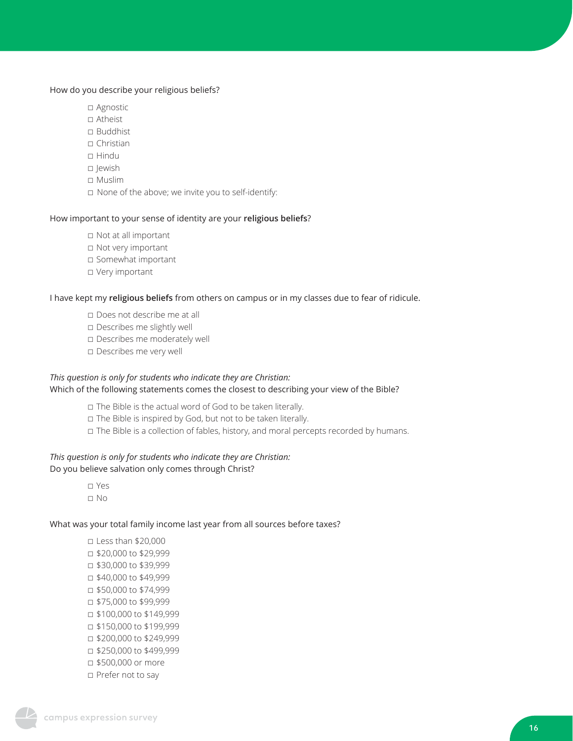#### How do you describe your religious beliefs?

- □ Agnostic
- ☐ Atheist
- ☐ Buddhist
- ☐ Christian
- ☐ Hindu
- ☐ Jewish
- ☐ Muslim
- ☐ None of the above; we invite you to self-identify:

#### How important to your sense of identity are your **religious beliefs**?

- ☐ Not at all important
- ☐ Not very important
- ☐ Somewhat important
- □ Very important

#### I have kept my **religious beliefs** from others on campus or in my classes due to fear of ridicule.

- ☐ Does not describe me at all
- ☐ Describes me slightly well
- ☐ Describes me moderately well
- ☐ Describes me very well

#### *This question is only for students who indicate they are Christian:* Which of the following statements comes the closest to describing your view of the Bible?

- ☐ The Bible is the actual word of God to be taken literally.
- ☐ The Bible is inspired by God, but not to be taken literally.
- □ The Bible is a collection of fables, history, and moral percepts recorded by humans.

#### *This question is only for students who indicate they are Christian:*

#### Do you believe salvation only comes through Christ?

☐ Yes ☐ No

#### What was your total family income last year from all sources before taxes?

☐ Less than \$20,000 ☐ \$20,000 to \$29,999 ☐ \$30,000 to \$39,999 ☐ \$40,000 to \$49,999 ☐ \$50,000 to \$74,999 ☐ \$75,000 to \$99,999 ☐ \$100,000 to \$149,999 ☐ \$150,000 to \$199,999 ☐ \$200,000 to \$249,999 ☐ \$250,000 to \$499,999 ☐ \$500,000 or more ☐ Prefer not to say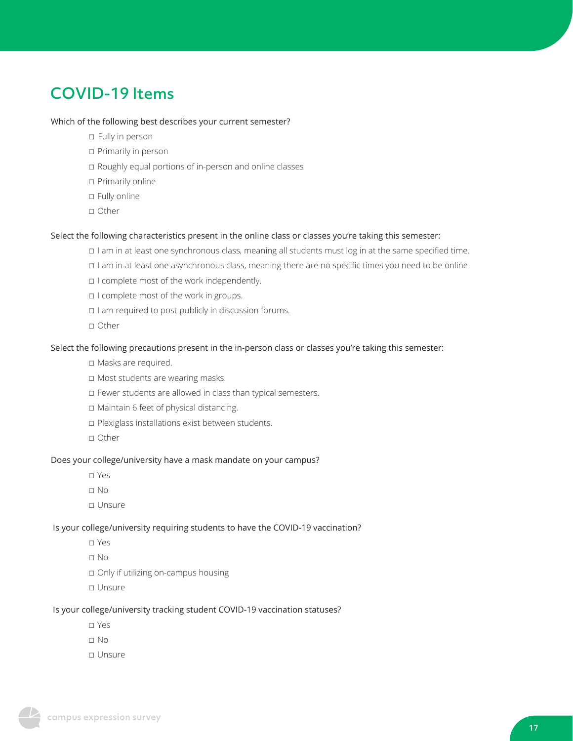### COVID-19 Items

#### Which of the following best describes your current semester?

- ☐ Fully in person
- ☐ Primarily in person
- ☐ Roughly equal portions of in-person and online classes
- ☐ Primarily online
- ☐ Fully online
- ☐ Other

#### Select the following characteristics present in the online class or classes you're taking this semester:

- ☐ I am in at least one synchronous class, meaning all students must log in at the same specified time.
- ☐ I am in at least one asynchronous class, meaning there are no specific times you need to be online.
- ☐ I complete most of the work independently.
- ☐ I complete most of the work in groups.
- ☐ I am required to post publicly in discussion forums.
- ☐ Other

#### Select the following precautions present in the in-person class or classes you're taking this semester:

- ☐ Masks are required.
- ☐ Most students are wearing masks.
- ☐ Fewer students are allowed in class than typical semesters.
- ☐ Maintain 6 feet of physical distancing.
- ☐ Plexiglass installations exist between students.
- ☐ Other

#### Does your college/university have a mask mandate on your campus?

- ☐ Yes
- ☐ No
- ☐ Unsure

#### Is your college/university requiring students to have the COVID-19 vaccination?

- ☐ Yes
- ☐ No
- ☐ Only if utilizing on-campus housing
- ☐ Unsure

#### Is your college/university tracking student COVID-19 vaccination statuses?

- ☐ Yes
- ☐ No
- ☐ Unsure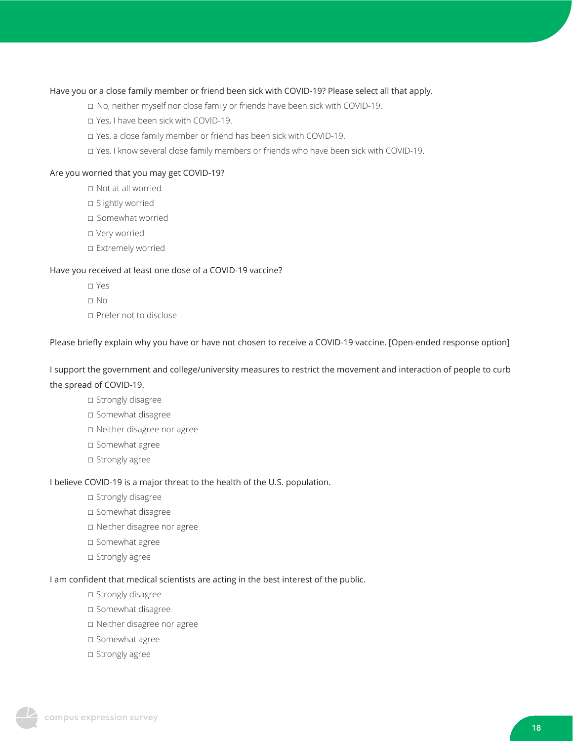#### Have you or a close family member or friend been sick with COVID-19? Please select all that apply.

- ☐ No, neither myself nor close family or friends have been sick with COVID-19.
- ☐ Yes, I have been sick with COVID-19.
- ☐ Yes, a close family member or friend has been sick with COVID-19.
- ☐ Yes, I know several close family members or friends who have been sick with COVID-19.

#### Are you worried that you may get COVID-19?

- ☐ Not at all worried
- □ Slightly worried
- ☐ Somewhat worried
- ☐ Very worried
- □ Extremely worried

#### Have you received at least one dose of a COVID-19 vaccine?

- ☐ Yes
- ☐ No
- ☐ Prefer not to disclose

Please briefly explain why you have or have not chosen to receive a COVID-19 vaccine. [Open-ended response option]

I support the government and college/university measures to restrict the movement and interaction of people to curb the spread of COVID-19.

- ☐ Strongly disagree
- ☐ Somewhat disagree
- ☐ Neither disagree nor agree
- ☐ Somewhat agree
- □ Strongly agree

#### I believe COVID-19 is a major threat to the health of the U.S. population.

- □ Strongly disagree
- ☐ Somewhat disagree
- ☐ Neither disagree nor agree
- ☐ Somewhat agree
- □ Strongly agree

#### I am confident that medical scientists are acting in the best interest of the public.

- □ Strongly disagree
- ☐ Somewhat disagree
- ☐ Neither disagree nor agree
- ☐ Somewhat agree
- □ Strongly agree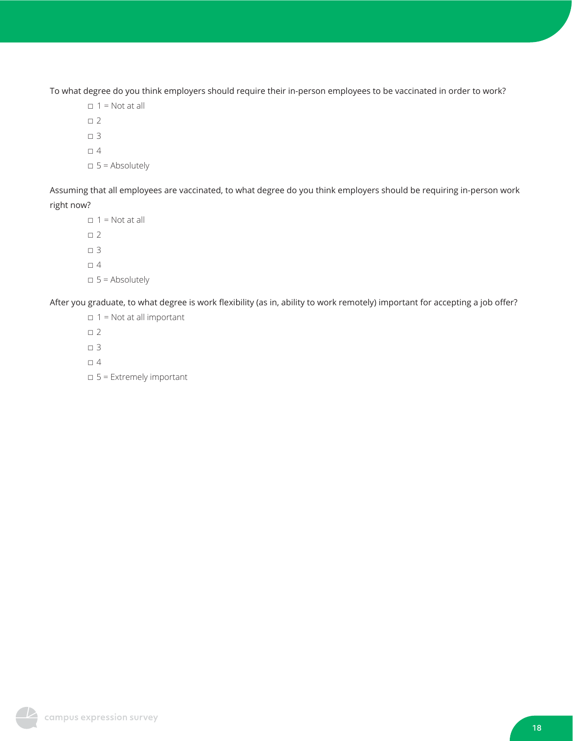To what degree do you think employers should require their in-person employees to be vaccinated in order to work?

 $\Box$  1 = Not at all  $\square$  2  $\square$  3  $\Box$  4  $\square$  5 = Absolutely

Assuming that all employees are vaccinated, to what degree do you think employers should be requiring in-person work right now?

 $\Box$  1 = Not at all  $\square$  2  $\Box$  3  $\Box$  4  $\Box$  5 = Absolutely

After you graduate, to what degree is work flexibility (as in, ability to work remotely) important for accepting a job offer?

- $\Box$  1 = Not at all important  $\square$  2  $\Box$  3
- $\Box$  4
- $\Box$  5 = Extremely important